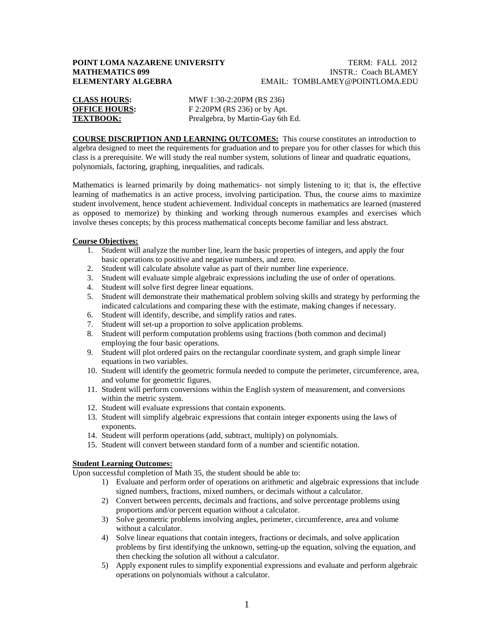# **POINT LOMA NAZARENE UNIVERSITY TERM: FALL 2012**<br>MATHEMATICS 099 **TERM: FALL 2012**

# **INSTR.: Coach BLAMEY ELEMENTARY ALGEBRA** EMAIL: TOMBLAMEY@POINTLOMA.EDU

| <b>CLASS HOURS:</b>  | MWF 1:30-2:20PM (RS 236)          |
|----------------------|-----------------------------------|
| <b>OFFICE HOURS:</b> | F 2:20PM (RS 236) or by Apt.      |
| <b>TEXTBOOK:</b>     | Prealgebra, by Martin-Gay 6th Ed. |

**COURSE DISCRIPTION AND LEARNING OUTCOMES:** This course constitutes an introduction to algebra designed to meet the requirements for graduation and to prepare you for other classes for which this class is a prerequisite. We will study the real number system, solutions of linear and quadratic equations, polynomials, factoring, graphing, inequalities, and radicals.

Mathematics is learned primarily by doing mathematics- not simply listening to it; that is, the effective learning of mathematics is an active process, involving participation. Thus, the course aims to maximize student involvement, hence student achievement. Individual concepts in mathematics are learned (mastered as opposed to memorize) by thinking and working through numerous examples and exercises which involve theses concepts; by this process mathematical concepts become familiar and less abstract.

### **Course Objectives:**

- 1. Student will analyze the number line, learn the basic properties of integers, and apply the four basic operations to positive and negative numbers, and zero.
- 2. Student will calculate absolute value as part of their number line experience.
- 3. Student will evaluate simple algebraic expressions including the use of order of operations.
- 4. Student will solve first degree linear equations.
- 5. Student will demonstrate their mathematical problem solving skills and strategy by performing the indicated calculations and comparing these with the estimate, making changes if necessary.
- 6. Student will identify, describe, and simplify ratios and rates.
- 7. Student will set-up a proportion to solve application problems.
- 8. Student will perform computation problems using fractions (both common and decimal) employing the four basic operations.
- 9. Student will plot ordered pairs on the rectangular coordinate system, and graph simple linear equations in two variables.
- 10. Student will identify the geometric formula needed to compute the perimeter, circumference, area, and volume for geometric figures.
- 11. Student will perform conversions within the English system of measurement, and conversions within the metric system.
- 12. Student will evaluate expressions that contain exponents.
- 13. Student will simplify algebraic expressions that contain integer exponents using the laws of exponents.
- 14. Student will perform operations (add, subtract, multiply) on polynomials.
- 15. Student will convert between standard form of a number and scientific notation.

## **Student Learning Outcomes:**

Upon successful completion of Math 35, the student should be able to:

- 1) Evaluate and perform order of operations on arithmetic and algebraic expressions that include signed numbers, fractions, mixed numbers, or decimals without a calculator.
- 2) Convert between percents, decimals and fractions, and solve percentage problems using proportions and/or percent equation without a calculator.
- 3) Solve geometric problems involving angles, perimeter, circumference, area and volume without a calculator.
- 4) Solve linear equations that contain integers, fractions or decimals, and solve application problems by first identifying the unknown, setting-up the equation, solving the equation, and then checking the solution all without a calculator.
- 5) Apply exponent rules to simplify exponential expressions and evaluate and perform algebraic operations on polynomials without a calculator.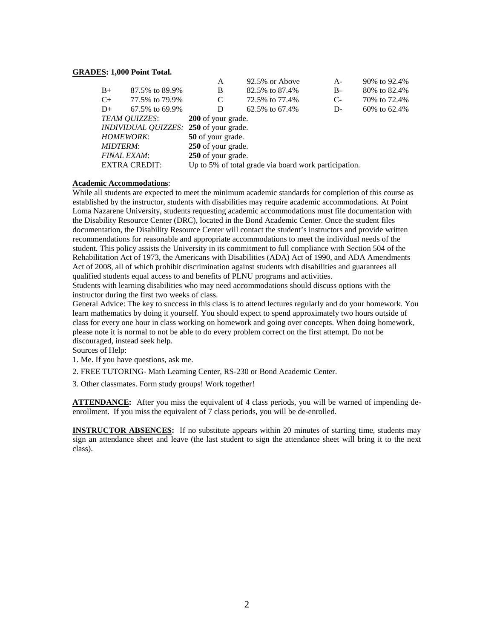#### **GRADES : 1,000 Point Total.**

|                                               |         |                                                                               | A                  | 92.5% or Above | $A -$ | 90% to 92.4%    |  |
|-----------------------------------------------|---------|-------------------------------------------------------------------------------|--------------------|----------------|-------|-----------------|--|
|                                               | $B+$    | 87.5% to 89.9%                                                                | B                  | 82.5% to 87.4% | $B-$  | 80\% to 82.4\%  |  |
|                                               | $C_{+}$ | 77.5% to 79.9%                                                                | C                  | 72.5% to 77.4% | $C-$  | 70\% to 72.4\%  |  |
|                                               | $D+$    | 67.5% to 69.9%                                                                | D                  | 62.5% to 67.4% | D-    | $60\%$ to 62.4% |  |
| TEAM QUIZZES:                                 |         |                                                                               | 200 of your grade. |                |       |                 |  |
| <i>INDIVIDUAL QUIZZES:</i> 250 of your grade. |         |                                                                               |                    |                |       |                 |  |
| <b>HOMEWORK:</b>                              |         |                                                                               | 50 of your grade.  |                |       |                 |  |
| <b>MIDTERM:</b>                               |         |                                                                               | 250 of your grade. |                |       |                 |  |
| <b>FINAL EXAM:</b>                            |         |                                                                               | 250 of your grade. |                |       |                 |  |
|                                               |         | <b>EXTRA CREDIT:</b><br>Up to 5% of total grade via board work participation. |                    |                |       |                 |  |
|                                               |         |                                                                               |                    |                |       |                 |  |

#### **Academic Accommodations** :

While all students are expected to meet the minimum academic standards for completion of this course as established by the instructor, students with disabilities may require academic accommodations. At Point Loma Nazarene University, students requesting academic accommodations must file documentation with the Disability Resource Center (DRC), located in the Bond Academic Center. Once the student files documentation, the Disability Resource Center will contact the student's instructors and provide written recommendations for reasonable and appropriate accommodations to meet the individual needs of the student. This policy assists the University in its commitment to full compliance with Section 504 of the Rehabilitation Act of 1973, the Americans with Disabilities (ADA) Act of 1990, and ADA Amendments Act of 2008, all of which prohibit discrimination against students with disabilities and guarantees all qualified students equal access to and benefits of PLNU programs and activities. Students with learning disabilities who may need accommodations should discuss options with the

instructor during the first two weeks of class.

General Advice: The key to success in this class is to attend lectures regularly and do your homework. You learn mathematics by doing it yourself. You should expect to spend approximately two hours outside of class for every one hour in class working on homework and going over concepts. When doing homework, please note it is normal to not be able to do every problem correct on the first attempt. Do not be discouraged, instead seek help.

Sources of Help:

1. Me. If you have questions, ask me.

2. FREE TUTORING- Math Learning Center, RS-230 or Bond Academic Center.

3. Other classmates. Form study groups! Work together!

**ATTENDANCE:** After you miss the equivalent of 4 class periods, you will be warned of impending deenrollment. If you miss the equivalent of 7 class periods, you will be de-enrolled.

**INSTRUCTOR ABSENCES:** If no substitute appears within 20 minutes of starting time, students may sign an attendance sheet and leave (the last student to sign the attendance sheet will bring it to the next class).